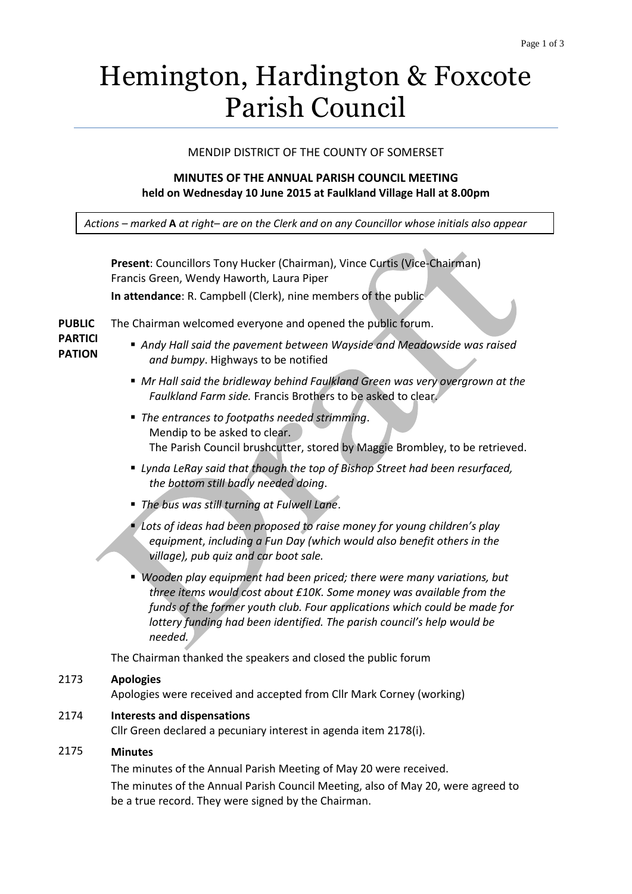# Hemington, Hardington & Foxcote Parish Council

## MENDIP DISTRICT OF THE COUNTY OF SOMERSET

## **MINUTES OF THE ANNUAL PARISH COUNCIL MEETING held on Wednesday 10 June 2015 at Faulkland Village Hall at 8.00pm**

*Actions – marked* **A** *at right– are on the Clerk and on any Councillor whose initials also appear*

|                                 | Present: Councillors Tony Hucker (Chairman), Vince Curtis (Vice-Chairman)<br>Francis Green, Wendy Haworth, Laura Piper                                                                                                                                                                                            |
|---------------------------------|-------------------------------------------------------------------------------------------------------------------------------------------------------------------------------------------------------------------------------------------------------------------------------------------------------------------|
|                                 | In attendance: R. Campbell (Clerk), nine members of the public                                                                                                                                                                                                                                                    |
| <b>PUBLIC</b>                   | The Chairman welcomed everyone and opened the public forum.                                                                                                                                                                                                                                                       |
| <b>PARTICI</b><br><b>PATION</b> | Andy Hall said the pavement between Wayside and Meadowside was raised<br>and bumpy. Highways to be notified                                                                                                                                                                                                       |
|                                 | ■ Mr Hall said the bridleway behind Faulkland Green was very overgrown at the<br>Faulkland Farm side. Francis Brothers to be asked to clear.                                                                                                                                                                      |
|                                 | ■ The entrances to footpaths needed strimming.<br>Mendip to be asked to clear.<br>The Parish Council brushcutter, stored by Maggie Brombley, to be retrieved.                                                                                                                                                     |
|                                 | ■ Lynda LeRay said that though the top of Bishop Street had been resurfaced,<br>the bottom still badly needed doing.                                                                                                                                                                                              |
|                                 | The bus was still turning at Fulwell Lane.<br>٠                                                                                                                                                                                                                                                                   |
|                                 | • Lots of ideas had been proposed to raise money for young children's play<br>equipment, including a Fun Day (which would also benefit others in the<br>village), pub quiz and car boot sale.                                                                                                                     |
|                                 | Wooden play equipment had been priced; there were many variations, but<br>three items would cost about £10K. Some money was available from the<br>funds of the former youth club. Four applications which could be made for<br>lottery funding had been identified. The parish council's help would be<br>needed. |
|                                 | The Chairman thanked the speakers and closed the public forum                                                                                                                                                                                                                                                     |
| 2173                            | <b>Apologies</b><br>Apologies were received and accepted from Cllr Mark Corney (working)                                                                                                                                                                                                                          |
| 2174                            | <b>Interests and dispensations</b><br>Cllr Green declared a pecuniary interest in agenda item 2178(i).                                                                                                                                                                                                            |
| 2175                            | <b>Minutes</b>                                                                                                                                                                                                                                                                                                    |
|                                 | The minutes of the Annual Parish Meeting of May 20 were received.                                                                                                                                                                                                                                                 |
|                                 | The minutes of the Annual Parish Council Meeting, also of May 20, were agreed to<br>be a true record. They were signed by the Chairman.                                                                                                                                                                           |
|                                 |                                                                                                                                                                                                                                                                                                                   |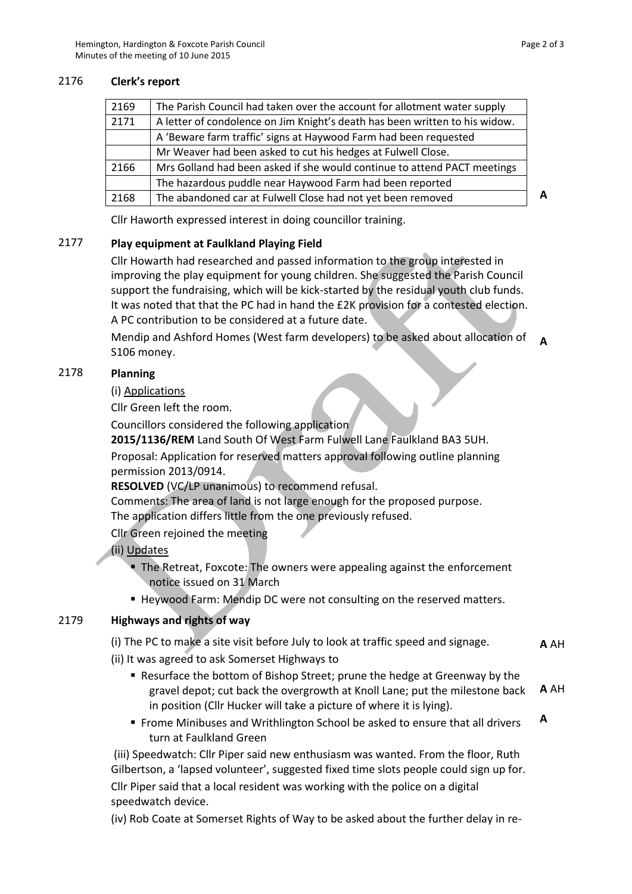## 2176 **Clerk's report**

| 2169 | The Parish Council had taken over the account for allotment water supply    |   |
|------|-----------------------------------------------------------------------------|---|
| 2171 | A letter of condolence on Jim Knight's death has been written to his widow. |   |
|      | A 'Beware farm traffic' signs at Haywood Farm had been requested            |   |
|      | Mr Weaver had been asked to cut his hedges at Fulwell Close.                |   |
| 2166 | Mrs Golland had been asked if she would continue to attend PACT meetings    |   |
|      | The hazardous puddle near Haywood Farm had been reported                    |   |
| 2168 | The abandoned car at Fulwell Close had not yet been removed                 | Δ |

Cllr Haworth expressed interest in doing councillor training.

# 2177 **Play equipment at Faulkland Playing Field**

Cllr Howarth had researched and passed information to the group interested in improving the play equipment for young children. She suggested the Parish Council support the fundraising, which will be kick-started by the residual youth club funds. It was noted that that the PC had in hand the £2K provision for a contested election. A PC contribution to be considered at a future date.

Mendip and Ashford Homes (West farm developers) to be asked about allocation of S106 money. **A**

## 2178 **Planning**

## (i) Applications

Cllr Green left the room.

Councillors considered the following application

**2015/1136/REM** Land South Of West Farm Fulwell Lane Faulkland BA3 5UH.

Proposal: Application for reserved matters approval following outline planning permission 2013/0914.

**RESOLVED** (VC/LP unanimous) to recommend refusal.

Comments: The area of land is not large enough for the proposed purpose. The application differs little from the one previously refused.

Cllr Green rejoined the meeting

# (ii) Updates

- The Retreat, Foxcote: The owners were appealing against the enforcement notice issued on 31 March
- Heywood Farm: Mendip DC were not consulting on the reserved matters.

# 2179 **Highways and rights of way**

(i) The PC to make a site visit before July to look at traffic speed and signage. **A** AH

- (ii) It was agreed to ask Somerset Highways to
	- Resurface the bottom of Bishop Street; prune the hedge at Greenway by the gravel depot; cut back the overgrowth at Knoll Lane; put the milestone back in position (Cllr Hucker will take a picture of where it is lying). **A** AH
	- **Frome Minibuses and Writhlington School be asked to ensure that all drivers** turn at Faulkland Green **A**

(iii) Speedwatch: Cllr Piper said new enthusiasm was wanted. From the floor, Ruth Gilbertson, a 'lapsed volunteer', suggested fixed time slots people could sign up for. Cllr Piper said that a local resident was working with the police on a digital speedwatch device.

(iv) Rob Coate at Somerset Rights of Way to be asked about the further delay in re-